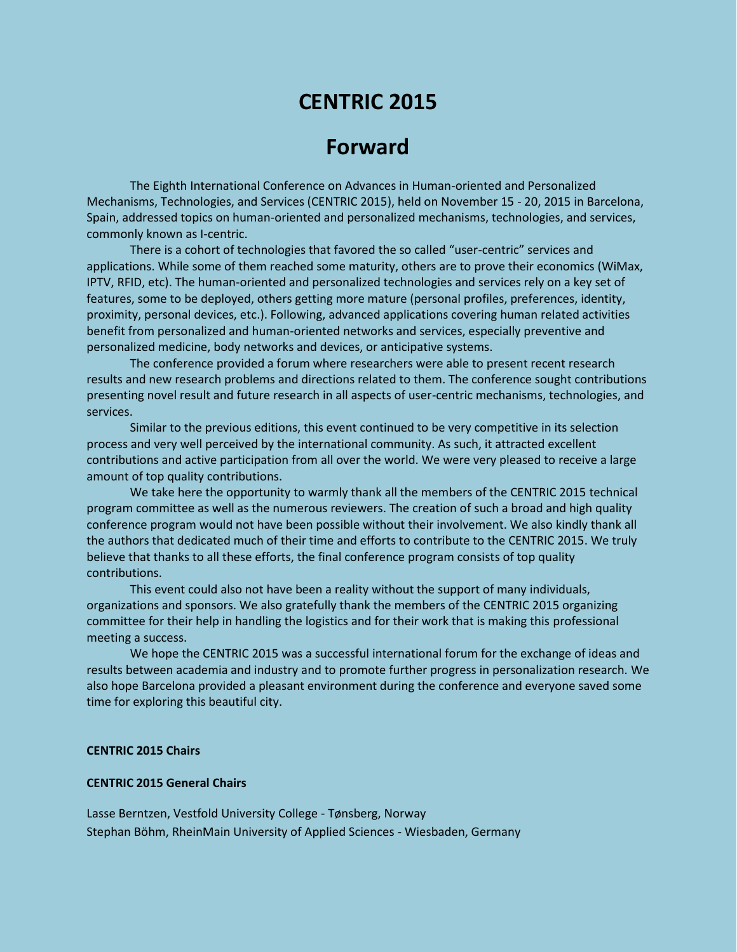# **CENTRIC 2015**

# **Forward**

The Eighth International Conference on Advances in Human-oriented and Personalized Mechanisms, Technologies, and Services (CENTRIC 2015), held on November 15 - 20, 2015 in Barcelona, Spain, addressed topics on human-oriented and personalized mechanisms, technologies, and services, commonly known as I-centric.

There is a cohort of technologies that favored the so called "user-centric" services and applications. While some of them reached some maturity, others are to prove their economics (WiMax, IPTV, RFID, etc). The human-oriented and personalized technologies and services rely on a key set of features, some to be deployed, others getting more mature (personal profiles, preferences, identity, proximity, personal devices, etc.). Following, advanced applications covering human related activities benefit from personalized and human-oriented networks and services, especially preventive and personalized medicine, body networks and devices, or anticipative systems.

The conference provided a forum where researchers were able to present recent research results and new research problems and directions related to them. The conference sought contributions presenting novel result and future research in all aspects of user-centric mechanisms, technologies, and services.

Similar to the previous editions, this event continued to be very competitive in its selection process and very well perceived by the international community. As such, it attracted excellent contributions and active participation from all over the world. We were very pleased to receive a large amount of top quality contributions.

We take here the opportunity to warmly thank all the members of the CENTRIC 2015 technical program committee as well as the numerous reviewers. The creation of such a broad and high quality conference program would not have been possible without their involvement. We also kindly thank all the authors that dedicated much of their time and efforts to contribute to the CENTRIC 2015. We truly believe that thanks to all these efforts, the final conference program consists of top quality contributions.

This event could also not have been a reality without the support of many individuals, organizations and sponsors. We also gratefully thank the members of the CENTRIC 2015 organizing committee for their help in handling the logistics and for their work that is making this professional meeting a success.

We hope the CENTRIC 2015 was a successful international forum for the exchange of ideas and results between academia and industry and to promote further progress in personalization research. We also hope Barcelona provided a pleasant environment during the conference and everyone saved some time for exploring this beautiful city.

#### **CENTRIC 2015 Chairs**

#### **CENTRIC 2015 General Chairs**

Lasse Berntzen, Vestfold University College - Tønsberg, Norway Stephan Böhm, RheinMain University of Applied Sciences - Wiesbaden, Germany